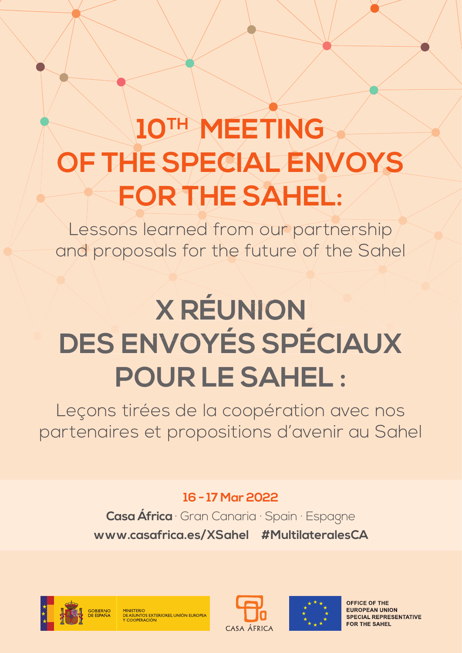# **10TH MEETING OF THE SPECIAL ENVOYS FOR THE SAHEL:**

Lessons learned from our partnership and proposals for the future of the Sahel

# **X RÉUNION DES ENVOYÉS SPÉCIAUX POUR LE SAHEL :**

Leçons tirées de la coopération avec nos partenaires et propositions d'avenir au Sahel

## **16 - 17 Mar 2022**

**Casa África** · Gran Canaria · Spain · Espagne **www.casafrica.es/XSahel #MultilateralesCA**





M<mark>INISTERIO</mark><br>DE ASUNTOS EXTERIORES, UNIÓN EUROPEA



**OFFICE OF THE EUROPEAN UNION SPECIAL REPRESENTATIVE FOR THE SAHEL**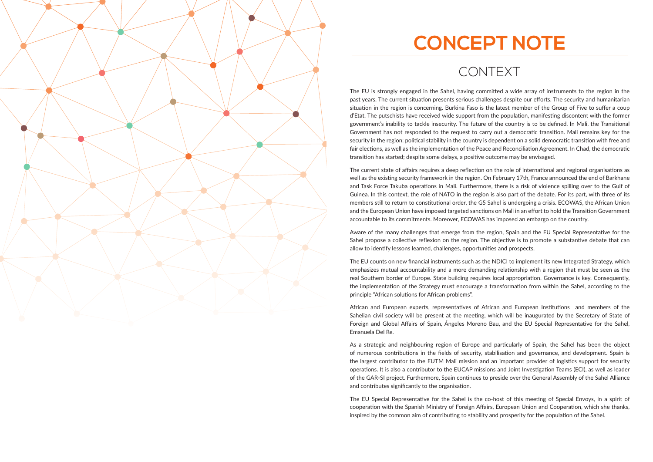

# **CONCEPT NOTE**

# CONTEXT

The EU is strongly engaged in the Sahel, having committed a wide array of instruments to the region in the past years. The current situation presents serious challenges despite our efforts. The security and humanitarian situation in the region is concerning. Burkina Faso is the latest member of the Group of Five to suffer a coup d'Etat. The putschists have received wide support from the population, manifesting discontent with the former government's inability to tackle insecurity. The future of the country is to be defined. In Mali, the Transitional Government has not responded to the request to carry out a democratic transition. Mali remains key for the security in the region: political stability in the country is dependent on a solid democratic transition with free and fair elections, as well as the implementation of the Peace and Reconciliation Agreement. In Chad, the democratic transition has started; despite some delays, a positive outcome may be envisaged.

The current state of affairs requires a deep reflection on the role of international and regional organisations as well as the existing security framework in the region. On February 17th, France announced the end of Barkhane and Task Force Takuba operations in Mali. Furthermore, there is a risk of violence spilling over to the Gulf of Guinea. In this context, the role of NATO in the region is also part of the debate. For its part, with three of its members still to return to constitutional order, the G5 Sahel is undergoing a crisis. ECOWAS, the African Union and the European Union have imposed targeted sanctions on Mali in an effort to hold the Transition Government accountable to its commitments. Moreover, ECOWAS has imposed an embargo on the country.

Aware of the many challenges that emerge from the region, Spain and the EU Special Representative for the Sahel propose a collective reflexion on the region. The objective is to promote a substantive debate that can allow to identify lessons learned, challenges, opportunities and prospects.

The EU counts on new financial instruments such as the NDICI to implement its new Integrated Strategy, which emphasizes mutual accountability and a more demanding relationship with a region that must be seen as the real Southern border of Europe. State building requires local appropriation. Governance is key. Consequently, the implementation of the Strategy must encourage a transformation from within the Sahel, according to the principle "African solutions for African problems".

African and European experts, representatives of African and European Institutions and members of the Sahelian civil society will be present at the meeting, which will be inaugurated by the Secretary of State of Foreign and Global Affairs of Spain, Ángeles Moreno Bau, and the EU Special Representative for the Sahel, Emanuela Del Re.

As a strategic and neighbouring region of Europe and particularly of Spain, the Sahel has been the object of numerous contributions in the fields of security, stabilisation and governance, and development. Spain is the largest contributor to the EUTM Mali mission and an important provider of logistics support for security operations. It is also a contributor to the EUCAP missions and Joint Investigation Teams (ECI), as well as leader of the GAR-SI project. Furthermore, Spain continues to preside over the General Assembly of the Sahel Alliance and contributes significantly to the organisation.

The EU Special Representative for the Sahel is the co-host of this meeting of Special Envoys, in a spirit of cooperation with the Spanish Ministry of Foreign Affairs, European Union and Cooperation, which she thanks, inspired by the common aim of contributing to stability and prosperity for the population of the Sahel.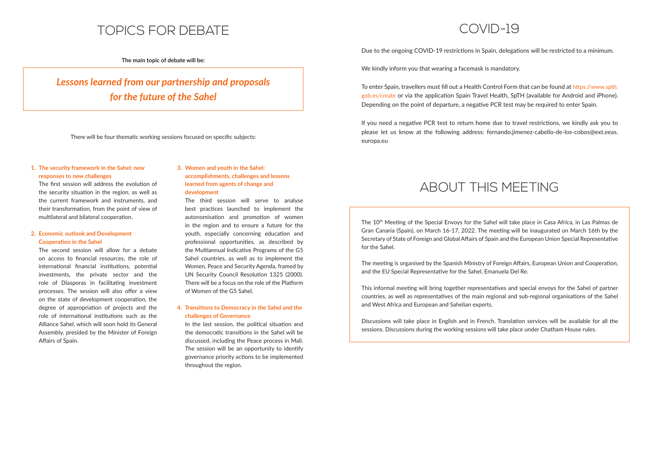# TOPICS FOR DEBATE

**The main topic of debate will be:** 

*Lessons learned from our partnership and proposals for the future of the Sahel*

There will be four thematic working sessions focused on specific subjects:

### **1. The security framework in the Sahel: new responses to new challenges**

The first session will address the evolution of the security situation in the region, as well as the current framework and instruments, and their transformation, from the point of view of multilateral and bilateral cooperation.

### **2. Economic outlook and Development Cooperation in the Sahel**

The second session will allow for a debate on access to financial resources, the role of international financial institutions, potential investments, the private sector and the role of Diasporas in facilitating investment processes. The session will also offer a view on the state of development cooperation, the degree of appropriation of projects and the role of international institutions such as the Alliance Sahel, which will soon hold its General Assembly, presided by the Minister of Foreign Affairs of Spain.

In the last session, the political situation and the democratic transitions in the Sahel will be discussed, including the Peace process in Mali. The session will be an opportunity to identify governance priority actions to be implemented throughout the region.

Due to the ongoing COVID-19 restrictions in Spain, delegations will be restricted to a minimum.

### **3. Women and youth in the Sahel: accomplishments, challenges and lessons learned from agents of change and development**

If you need a negative PCR test to return home due to travel restrictions, we kindly ask you to please let us know at the following address: fernando.jimenez-cabello-de-los-cobos@ext.eeas. europa.eu

The third session will serve to analyse best practices launched to implement the autonomisation and promotion of women in the region and to ensure a future for the youth, especially concerning education and professional opportunities, as described by the Multiannual Indicative Programs of the G5 Sahel countries, as well as to implement the Women, Peace and Security Agenda, framed by UN Security Council Resolution 1325 (2000). There will be a focus on the role of the Platform of Women of the G5 Sahel.

The 10<sup>th</sup> Meeting of the Special Envoys for the Sahel will take place in Casa Africa, in Las Palmas de Gran Canaria (Spain), on March 16-17, 2022. The meeting will be inaugurated on March 16th by the Secretary of State of Foreign and Global Affairs of Spain and the European Union Special Representative for the Sahel.

The meeting is organised by the Spanish Ministry of Foreign Affairs, European Union and Cooperation, and the EU Special Representative for the Sahel, Emanuela Del Re.

### **4. Transiঞ ons to Democracy in the Sahel and the challenges of Governance**

This informal meeting will bring together representatives and special envoys for the Sahel of partner countries, as well as representatives of the main regional and sub-regional organisations of the Sahel and West Africa and European and Sahelian experts.

Discussions will take place in English and in French. Translation services will be available for all the sessions. Discussions during the working sessions will take place under Chatham House rules.

# COVID-19

We kindly inform you that wearing a facemask is mandatory.

To enter Spain, travellers must fill out a Health Control Form that can be found at https://www.spth. gob.es/create or via the application Spain Travel Health, SpTH (available for Android and iPhone). Depending on the point of departure, a negative PCR test may be required to enter Spain.

# ABOUT THIS MEETING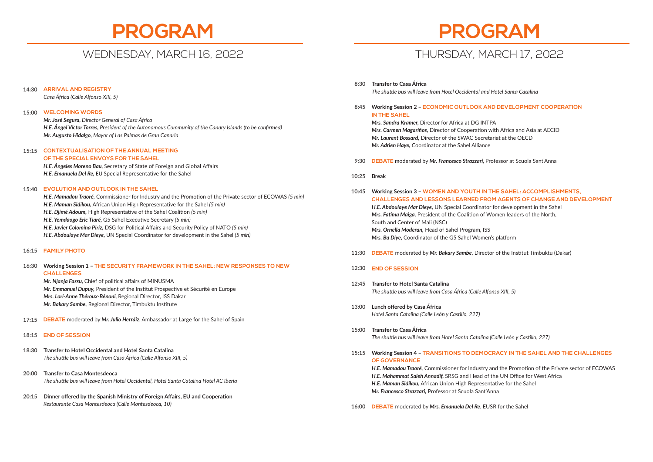# **PROGRAM**

## WEDNESDAY, MARCH 16, 2022

*Casa África (Calle Alfonso XIII, 5)*

## **WELCOMING WORDS 15:00** *Mr. José Segura, Director General of Casa África H.E. Ángel Víctor Torres, President of the Autonomous Community of the Canary Islands (to be confirmed) Mr. Augusto Hidalgo, Mayor of Las Palmas de Gran Canaria*

### **OF THE SPECIAL ENVOYS FOR THE SAHEL**

*H.E. Ángeles Moreno Bau, Secretary of State of Foreign and Global Affairs* **H.E. Emanuela Del Re.** EU Special Representative for the Sahel

*H.E. Mamadou Traoré, Commissioner for Industry and the Promotion of the Private sector of ECOWAS (5 min) H.E. Maman Sidikou, African Union High Representative for the Sahel (5 min) H.E. Djimé Adoum,* High Representative of the Sahel Coalition (5 min) *H.E. Yemdaogo Eric Tiaré, G5 Sahel Executive Secretary (5 min) H.E. Javier Colomina Piriz, DSG for Political Affairs and Security Policy of NATO (5 min) H.E. Abdoulaye Mar Dieye,* UN Special Coordinator for development in the Sahel *(5 min)* **FAMILY PHOTO 16:15**

### **ARRIVAL AND REGISTRY 14:30**

### **Transfer to Casa África 8:30 The shuttle bus will leave from Hotel Occidental and Hotel Santa Catalina**

## **CONTEXTUALISATION OF THE ANNUAL MEETING 15:15**

## **Working Session 1 – THE SECURITY FRAMEWORK IN THE SAHEL: NEW RESPONSES TO NEW 16:30 CHALLENGES**

*Mr. Njanja Fassu, Chief of political affairs of MINUSMA Mr. Emmanuel Dupuy, President of the Institut Prospective et Sécurité en Europe Mrs. Lori-Anne Théroux-Bénoni,* Regional Director, ISS Dakar *Mr. Bakary Sambe, Regional Director, Timbuktu Institute* 

### **EVOLUTION AND OUTLOOK IN THE SAHEL 15:40**

- **DEBATE** moderated by *Mr. Julio Herráiz*, Ambassador at Large for the Sahel of Spain **17:15**
- **END OF SESSION 18:15**
- **Transfer to Hotel Occidental and Hotel Santa Catalina** *The shuttle bus will leave from Casa África (Calle Alfonso XIII, 5)* **18:30**
- **Transfer to Casa Montesdeoca 20:00** *The shu le bus will leave from Hotel Occidental, Hotel Santa Catalina Hotel AC Iberia*
- **Dinner off ered by the Spanish Ministry of Foreign Aff airs, EU and Cooperaঞ on 20:15** *Restaurante Casa Montesdeoca (Calle Montesdeoca, 10)*

**Working Session 2 – ECONOMIC OUTLOOK AND DEVELOPMENT COOPERATION 8:45 IN THE SAHEL**

*Mrs. Sandra Kramer,* Director for Africa at DG INTPA *Mrs. Carmen Magariños, Director of Cooperation with Africa and Asia at AECID Mr. Laurent Bossard,* Director of the SWAC Secretariat at the OECD *Mr. Adrien Haye,* Coordinator at the Sahel Alliance

**DEBATE** moderated by *Mr. Francesco Strazzari,* Professor at Scuola Sant'Anna **9:30**

- **Working Session 3 WOMEN AND YOUTH IN THE SAHEL: ACCOMPLISHMENTS, CHALLENGES AND LESSONS LEARNED FROM AGENTS OF CHANGE AND DEVELOPMENT** *H.E. Abdoulaye Mar Dieye,* UN Special Coordinator for development in the Sahel *Mrs. Fatima Maiga, President of the Coalition of Women leaders of the North,* South and Center of Mali (NSC) *Mrs. Ornella Moderan,* Head of Sahel Program, ISS *Mrs. Ba Diye, Coordinator of the G5 Sahel Women's platform* **10:45**
- 11:30 **DEBATE** moderated by Mr. Bakary Sambe, Director of the Institut Timbuktu (Dakar)
- **END OF SESSION 12:30**
- **Transfer to Hotel Santa Catalina** *The shuttle bus will leave from Casa África (Calle Alfonso XIII, 5)* **12:45**
- 13:00 Lunch offered by Casa África *Hotel Santa Catalina (Calle León y Casࢼ llo, 227)*
- **Transfer to Casa África 15:00** *The shuttle bus will leave from Hotel Santa Catalina (Calle León y Castillo, 227)*
- **Working Session 4 TRANSITIONS TO DEMOCRACY IN THE SAHEL AND THE CHALLENGES 15:15 OF GOVERNANCE** 
	- **H.E. Mahammat Saleh Annadif, SRSG and Head of the UN Office for West Africa** *H.E. Maman Sidikou, African Union High Representative for the Sahel Mr. Francesco Strazzari,* Professor at Scuola Sant'Anna

**Break 10:25**

**DEBATE** moderated by *Mrs. Emanuela Del Re*, EUSR for the Sahel **16:00**



*H.E. Mamadou Traoré*, Commissioner for Industry and the Promotion of the Private sector of ECOWAS

## THURSDAY, MARCH 17, 2022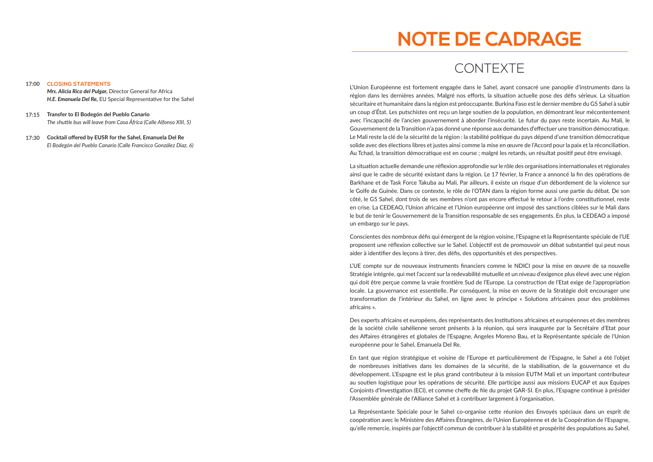*Mrs. Alicia Rico del Pulgar,* Director General for Africa *H.E. Emanuela Del Re, EU Special Representative for the Sahel* 

### **CLOSING STATEMENTS 17:00**

L'Union Européenne est fortement engagée dans le Sahel, ayant consacré une panoplie d'instruments dans la région dans les dernières années. Malgré nos efforts, la situation actuelle pose des défis sérieux. La situation sécuritaire et humanitaire dans la région est préoccupante. Burkina Faso est le dernier membre du G5 Sahel à subir un coup d'État. Les putschistes ont reçu un large soutien de la population, en démontrant leur mécontentement avec l'incapacité de l'ancien gouvernement à aborder l'insécurité. Le futur du pays reste incertain. Au Mali, le Gouvernement de la Transition n'a pas donné une réponse aux demandes d'effectuer une transition démocratique. Le Mali reste la clé de la sécurité de la région : la stabilité politique du pays dépend d'une transition démocratique solide avec des élections libres et justes ainsi comme la mise en œuvre de l'Accord pour la paix et la réconciliation. Au Tchad, la transition démocratique est en course ; malgré les retards, un résultat positif peut être envisagé.

- **Transfer to El Bodegón del Pueblo Canario 17:15** *The shuttle bus will leave from Casa África (Calle Alfonso XIII, 5)*
- **Cocktail off ered by EUSR for the Sahel, Emanuela Del Re**  *El Bodegón del Pueblo Canario (Calle Francisco González Díaz, 6)* **17:30**

# **NOTE DE CADRAGE**

# CONTEXTE

La situation actuelle demande une réflexion approfondie sur le rôle des organisations internationales et régionales ainsi que le cadre de sécurité existant dans la région. Le 17 février, la France a annoncé la fin des opérations de Barkhane et de Task Force Takuba au Mali. Par ailleurs, il existe un risque d'un débordement de la violence sur le Golfe de Guinée. Dans ce contexte, le rôle de l'OTAN dans la région forme aussi une partie du débat. De son côté, le G5 Sahel, dont trois de ses membres n'ont pas encore effectué le retour à l'ordre constitutionnel, reste en crise. La CEDEAO, l'Union africaine et l'Union européenne ont imposé des sanctions ciblées sur le Mali dans le but de tenir le Gouvernement de la Transition responsable de ses engagements. En plus, la CEDEAO a imposé un embargo sur le pays.

Conscientes des nombreux défis qui émergent de la région voisine, l'Espagne et la Représentante spéciale de l'UE proposent une réflexion collective sur le Sahel. L'objectif est de promouvoir un débat substantiel qui peut nous aider à identifier des leçons à tirer, des défis, des opportunités et des perspectives.

L'UE compte sur de nouveaux instruments financiers comme le NDICI pour la mise en œuvre de sa nouvelle Stratégie intégrée, qui met l'accent sur la redevabilité mutuelle et un niveau d'exigence plus élevé avec une région qui doit être percue comme la vraie frontière Sud de l'Europe. La construction de l'Etat exige de l'appropriation locale. La gouvernance est essentielle. Par conséquent, la mise en œuvre de la Stratégie doit encourager une transformation de l'intérieur du Sahel, en ligne avec le principe « Solutions africaines pour des problèmes africains ».

Des experts africains et européens, des représentants des Institutions africaines et européennes et des membres de la société civile sahélienne seront présents à la réunion, qui sera inaugurée par la Secrétaire d'Etat pour des Affaires étrangères et globales de l'Espagne, Angeles Moreno Bau, et la Représentante spéciale de l'Union européenne pour le Sahel, Emanuela Del Re.

En tant que région stratégique et voisine de l'Europe et particulièrement de l'Espagne, le Sahel a été l'objet de nombreuses initiatives dans les domaines de la sécurité, de la stabilisation, de la gouvernance et du développement. L'Espagne est le plus grand contributeur à la mission EUTM Mali et un important contributeur au soutien logistique pour les opérations de sécurité. Elle participe aussi aux missions EUCAP et aux Equipes Conjoints d'Investigation (ECI), et comme cheffe de file du projet GAR-SI. En plus, l'Espagne continue à présider l'Assemblée générale de l'Alliance Sahel et à contribuer largement à l'organisation.

La Représentante Spéciale pour le Sahel co-organise cette réunion des Envovés spéciaux dans un esprit de coopération avec le Ministère des Affaires Étrangères, de l'Union Européenne et de la Coopération de l'Espagne, gu'elle remercie, inspirés par l'objectif commun de contribuer à la stabilité et prospérité des populations au Sahel.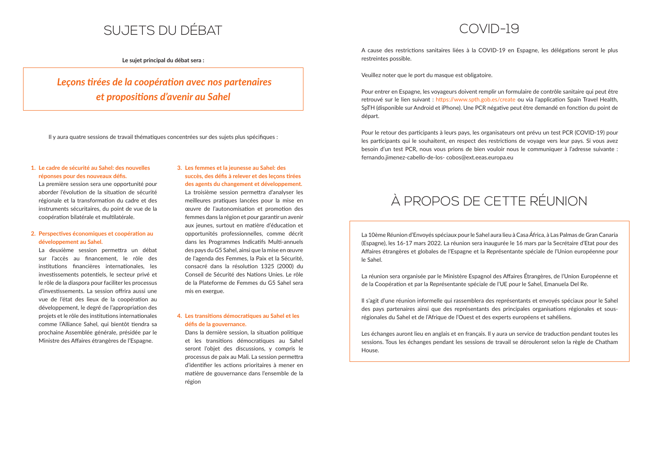# SUJETS DU DÉBAT

**Le sujet principal du débat sera :**

### **1. Le cadre de sécurité au Sahel: des nouvelles**  réponses pour des nouveaux défis.

 *Leçons ࢼ rées de la coopéraࢼ on avec nos partenaires et proposiࢼ ons d'avenir au Sahel* 

Il y aura quatre sessions de travail thématiques concentrées sur des sujets plus spécifiques :

La première session sera une opportunité pour aborder l'évolution de la situation de sécurité régionale et la transformation du cadre et des instruments sécuritaires, du point de vue de la coopération bilatérale et multilatérale.

### **2. Perspectives économiques et coopération au développement au Sahel.**

La deuxième session permettra un débat sur l'accès au financement, le rôle des institutions financières internationales, les investissements potentiels, le secteur privé et le rôle de la diaspora pour faciliter les processus d'investissements. La session offrira aussi une vue de l'état des lieux de la coopération au développement, le degré de l'appropriation des projets et le rôle des institutions internationales comme l'Alliance Sahel, qui bientôt tiendra sa prochaine Assemblée générale, présidée par le Ministre des Affaires étrangères de l'Espagne.

### **4. Les transiঞ ons démocraঞ ques au Sahel et les**  défis de la gouvernance.

Dans la dernière session, la situation politique et les transitions démocratiques au Sahel seront l'objet des discussions, y compris le processus de paix au Mali. La session permettra d'identifier les actions prioritaires à mener en matière de gouvernance dans l'ensemble de la région

A cause des restrictions sanitaires liées à la COVID-19 en Espagne, les délégations seront le plus restreintes possible.

**3. Les femmes et la jeunesse au Sahel: des**   $succ$ ès, des défis à relever et des leçons tirées **des agents du changement et développement.** La troisième session permettra d'analyser les meilleures pratiques lancées pour la mise en ceuvre de l'autonomisation et promotion des femmes dans la région et pour garantir un avenir aux jeunes, surtout en matière d'éducation et opportunités professionnelles, comme décrit dans les Programmes Indicatifs Multi-annuels des pays du G5 Sahel, ainsi que la mise en œuvre de l'agenda des Femmes, la Paix et la Sécurité, consacré dans la résolution 1325 (2000) du Conseil de Sécurité des Nations Unies. Le rôle de la Plateforme de Femmes du G5 Sahel sera mis en exergue.

Pour le retour des participants à leurs pays, les organisateurs ont prévu un test PCR (COVID-19) pour les participants qui le souhaitent, en respect des restrictions de voyage vers leur pays. Si vous avez besoin d'un test PCR, nous vous prions de bien vouloir nous le communiquer à l'adresse suivante : fernando.jimenez-cabello-de-los- cobos@ext.eeas.europa.eu

Les échanges auront lieu en anglais et en français. Il y aura un service de traduction pendant toutes les sessions. Tous les échanges pendant les sessions de travail se dérouleront selon la règle de Chatham House.

# COVID-19

Veuillez noter que le port du masque est obligatoire.

Pour entrer en Espagne, les voyageurs doivent remplir un formulaire de contrôle sanitaire qui peut être retrouvé sur le lien suivant : https://www.spth.gob.es/create ou via l'application Spain Travel Health, SpTH (disponible sur Android et iPhone). Une PCR négative peut être demandé en fonction du point de départ.

# À PROPOS DE CETTE RÉUNION

La 10ème Réunion d'Envoyés spéciaux pour le Sahel aura lieu à Casa África, à Las Palmas de Gran Canaria (Espagne), les 16-17 mars 2022. La réunion sera inaugurée le 16 mars par la Secrétaire d'Etat pour des Affaires étrangères et globales de l'Espagne et la Représentante spéciale de l'Union européenne pour le Sahel.

La réunion sera organisée par le Ministère Espagnol des Affaires Étrangères, de l'Union Européenne et de la Coopération et par la Représentante spéciale de l'UE pour le Sahel, Emanuela Del Re.

Il s'agit d'une réunion informelle qui rassemblera des représentants et envoyés spéciaux pour le Sahel des pays partenaires ainsi que des représentants des principales organisations régionales et sousrégionales du Sahel et de l'Afrique de l'Ouest et des experts européens et sahéliens.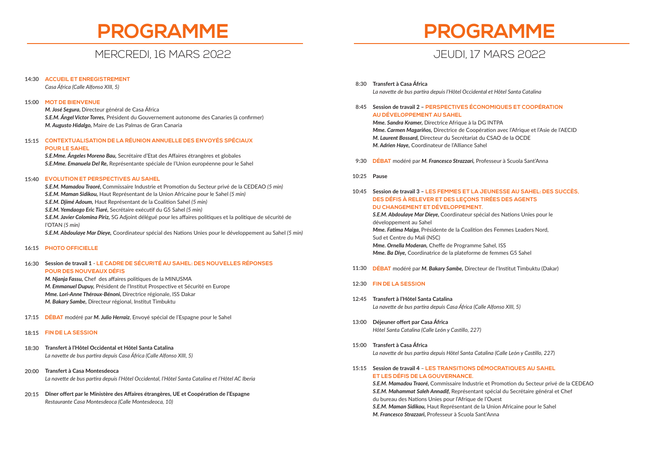# **PROGRAMME**

## MERCREDI, 16 MARS 2022

*Casa África (Calle Alfonso XIII, 5)*

*M. José Segura,* Directeur général de Casa África **S.E.M. Ángel Víctor Torres,** Président du Gouvernement autonome des Canaries (à confirmer) *M. Augusto Hidalgo,* Maire de Las Palmas de Gran Canaria

**S.E.Mme. Ángeles Moreno Bau, Secrétaire d'Etat des Affaires étrangères et globales** *S.E.Mme. Emanuela Del Re,* Représentante spéciale de l'Union européenne pour le Sahel

*S.E.M. Mamadou Traoré,* Commissaire Industrie et Promoঞ on du Secteur privé de la CEDEAO *(5 min) S.E.M. Maman Sidikou,* Haut Représentant de la Union Africaine pour le Sahel *(5 min)* **S.E.M. Djimé Adoum, Haut Représentant de la Coalition Sahel (5 min) S.E.M. Yemdaogo Eric Tiaré, Secrétaire exécutif du G5 Sahel (5 min)** *S.E.M. Javier Colomina Piriz, SG Adjoint délégué pour les affaires politiques et la politique de sécurité de* l'OTAN *(5 min)* **S.E.M. Abdoulaye Mar Dieye,** Coordinateur spécial des Nations Unies pour le développement au Sahel *(5 min)* 

**CONTEXTUALISATION DE LA RÉUNION ANNUELLE DES ENVOYÉS SPÉCIAUX 15:15 POUR LE SAHEL**

**ACCUEIL ET ENREGISTREMENT 14:30**

### **MOT DE BIENVENUE 15:00**

### **Session de travail 1** - **LE CADRE DE SÉCURITÉ AU SAHEL: DES NOUVELLES RÉPONSES 16:30 POUR DES NOUVEAUX DÉFIS**

*M. Njanja Fassu, Chef des affaires politiques de la MINUSMA M. Emmanuel Dupuy, Président de l'Institut Prospective et Sécurité en Europe Mme. Lori-Anne Théroux-Bénoni,* Directrice régionale, ISS Dakar *M. Bakary Sambe, Directeur régional, Institut Timbuktu* 

### **EVOLUTION ET PERSPECTIVES AU SAHEL 15:40**

### **PHOTO OFFICIELLE 16:15**

**DÉBAT** modéré par *M. Julio Herraiz*, Envoyé spécial de l'Espagne pour le Sahel **17:15**

- **Transfert à l'Hôtel Occidental et Hôtel Santa Catalina** *La nave e de bus parࢼ ra depuis Casa África (Calle Alfonso XIII, 5)* **18:30**
- **Transfert à Casa Montesdeoca** La navette de bus partira depuis l'Hôtel Occidental, l'Hôtel Santa Catalina et l'Hôtel AC Iberia **20:00**
- **Dîner off ert par le Ministère des Aff aires étrangères, UE et Coopéraঞ on de l'Espagne 20:15** *Restaurante Casa Montesdeoca (Calle Montesdeoca, 10)*

### **FIN DE LA SESSION 18:15**

**S.E.M. Mamadou Traoré, Commissaire Industrie et Promotion du Secteur privé de la CEDEAO** *S.E.M. Mahammat Saleh Annadif,* Représentant spécial du Secrétaire général et Chef du bureau des Nations Unies pour l'Afrique de l'Ouest *S.E.M. Maman Sidikou,* Haut Représentant de la Union Africaine pour le Sahel *M. Francesco Strazzari,* Professeur à Scuola Sant'Anna



- **Transfert à Casa África 8:30** *La nave e de bus parࢼ ra depuis l'Hôtel Occidental et Hôtel Santa Catalina*
- **Session de travail 2 – PERSPECTIVES ÉCONOMIQUES ET COOPÉRATION 8:45 AU DÉVELOPPEMENT AU SAHEL**

*Mme. Sandra Kramer,* Directrice Afrique à la DG INTPA *Mme. Carmen Magariños, Directrice de Coopération avec l'Afrique et l'Asie de l'AECID M. Laurent Bossard,* Directeur du Secrétariat du CSAO de la OCDE *M. Adrien Haye,* Coordinateur de l'Alliance Sahel

- **Session de travail 3 – LES FEMMES ET LA JEUNESSE AU SAHEL: DES SUCCÈS, DES DÉFIS À RELEVER ET DES LEÇONS TIRÉES DES AGENTS DU CHANGEMENT ET DÉVELOPPEMENT. S.E.M. Abdoulaye Mar Dieye, Coordinateur spécial des Nations Unies pour le** développement au Sahel *Mme. Fatima Maiga, Présidente de la Coalition des Femmes Leaders Nord,* Sud et Centre du Mali (NSC) *Mme. Ornella Moderan, Cheffe de Programme Sahel, ISS Mme. Ba Diye,* Coordinatrice de la plateforme de femmes G5 Sahel **10:45**
- **DÉBAT** modéré par *M. Bakary Sambe*, Directeur de l'Institut Timbuktu (Dakar) **11:30**
- **FIN DE LA SESSION 12:30**
- **Transfert à l'Hôtel Santa Catalina 12:45** *La nave e de bus parࢼ ra depuis Casa África (Calle Alfonso XIII, 5)*
- **Déjeuner off ert par Casa África 13:00** *Hôtel Santa Catalina (Calle León y Casࢼ llo, 227)*
- **Transfert à Casa África 15:00** *La navette de bus partira depuis Hôtel Santa Catalina (Calle León y Castillo, 227)*
- **Session de travail 4** – **LES TRANSITIONS DÉMOCRATIQUES AU SAHEL 15:15 ET LES DÉFIS DE LA GOUVERNANCE.**

**DÉBAT** modéré par *M. Francesco Strazzari,* Professeur à Scuola Sant'Anna **9:30**

**Pause 10:25**

# **PROGRAMME**

## JEUDI, 17 MARS 2022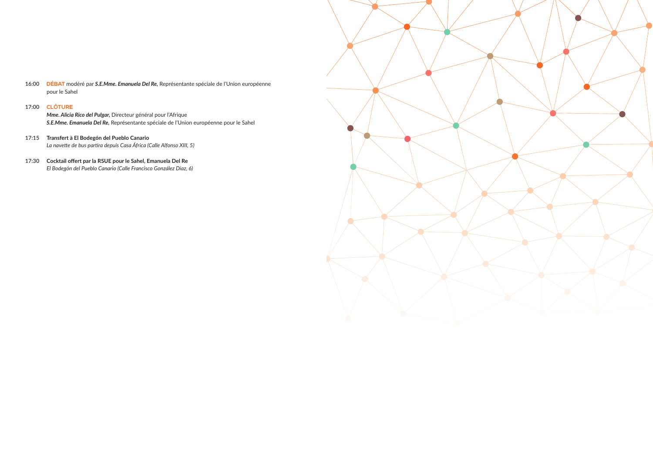*Mme. Alicia Rico del Pulgar,* Directeur général pour l'Afrique *S.E.Mme. Emanuela Del Re,* Représentante spéciale de l'Union européenne pour le Sahel

- **DÉBAT** modéré par *S.E.Mme. Emanuela Del Re,* Représentante spéciale de l'Union européenne **16:00** pour le Sahel
- **CLÔTURE 17:00**

- **Transfert à El Bodegón del Pueblo Canario 17:15** *La nave e de bus parࢼ ra depuis Casa África (Calle Alfonso XIII, 5)*
- **Cocktail off ert par la RSUE pour le Sahel, Emanuela Del Re 17:30***El Bodegón del Pueblo Canario (Calle Francisco González Díaz, 6)*